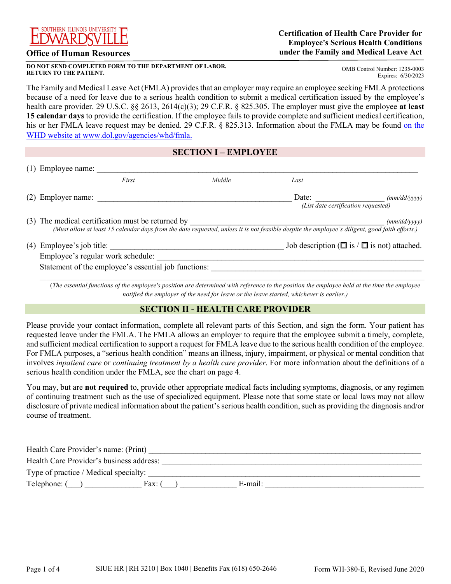

#### **Office of Human Resources**

#### **DO NOT SEND COMPLETED FORM TO THE DEPARTMENT OF LABOR. RETURN TO THE PATIENT.**

 Expires: 6/30/2023 OMB Control Number: 1235-0003

 because of a need for leave due to a serious health condition to submit a medical certification issued by the employee's health care provider. 29 U.S.C. §§ 2613, 2614(c)(3); 29 C.F.R. § 825.305. The employer must give the employee **at least 15 calendar days** to provide the certification. If the employee fails to provide complete and sufficient medical certification, his or her FMLA leave request may be denied. 29 C.F.R. § 825.313. Information about the FMLA may be found on the The Family and Medical Leave Act (FMLA) provides that an employer may require an employee seeking FMLA protections WHD website at<www.dol.gov/agencies/whd/fmla>.

### **SECTION I – EMPLOYEE**

|  | (1) Employee name:                                                                                                                             |       |        |                                                              |              |  |  |
|--|------------------------------------------------------------------------------------------------------------------------------------------------|-------|--------|--------------------------------------------------------------|--------------|--|--|
|  |                                                                                                                                                | First | Middle | Last                                                         |              |  |  |
|  | (2) Employer name:                                                                                                                             |       |        | Date:                                                        | (mm/dd/vvvv) |  |  |
|  |                                                                                                                                                |       |        | (List date certification requested)                          |              |  |  |
|  | (3) The medical certification must be returned by                                                                                              |       |        | (mm/dd/vvvv)                                                 |              |  |  |
|  | (Must allow at least 15 calendar days from the date requested, unless it is not feasible despite the employee's diligent, good faith efforts.) |       |        |                                                              |              |  |  |
|  | (4) Employee's job title:                                                                                                                      |       |        | Job description ( $\square$ is / $\square$ is not) attached. |              |  |  |
|  | Employee's regular work schedule:                                                                                                              |       |        |                                                              |              |  |  |
|  | Statement of the employee's essential job functions:                                                                                           |       |        |                                                              |              |  |  |
|  |                                                                                                                                                |       |        |                                                              |              |  |  |

(*The essential functions of the employee's position are determined with reference to the position the employee held at the time the employee notified the employer of the need for leave or the leave started, whichever is earlier.)* 

### **SECTION II - HEALTH CARE PROVIDER**

requested leave under the FMLA. The FMLA allows an employer to require that the employee submit a timely, complete, serious health condition under the FMLA, see the chart on page 4. Please provide your contact information, complete all relevant parts of this Section, and sign the form. Your patient has and sufficient medical certification to support a request for FMLA leave due to the serious health condition of the employee. For FMLA purposes, a "serious health condition" means an illness, injury, impairment, or physical or mental condition that involves *inpatient care* or *continuing treatment by a health care provider*. For more information about the definitions of a

You may, but are **not required** to, provide other appropriate medical facts including symptoms, diagnosis, or any regimen of continuing treatment such as the use of specialized equipment. Please note that some state or local laws may not allow disclosure of private medical information about the patient's serious health condition, such as providing the diagnosis and/or course of treatment.

| Health Care Provider's name: (Print)     |      |         |  |  |  |  |  |  |
|------------------------------------------|------|---------|--|--|--|--|--|--|
| Health Care Provider's business address: |      |         |  |  |  |  |  |  |
| Type of practice / Medical specialty:    |      |         |  |  |  |  |  |  |
| Telephone: (                             | Fax: | E-mail: |  |  |  |  |  |  |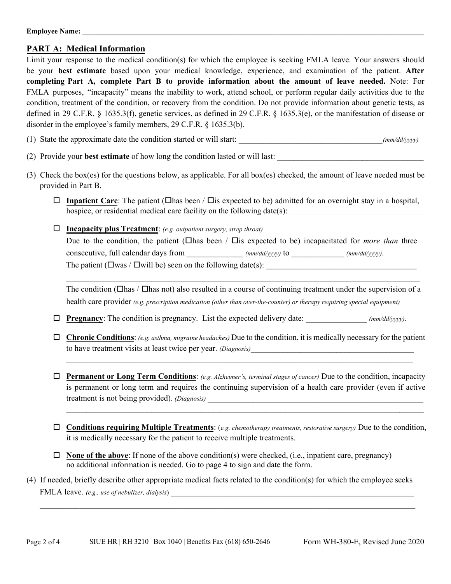# **PART A: Medical Information**

 **completing Part A, complete Part B to provide information about the amount of leave needed.** Note: For Limit your response to the medical condition(s) for which the employee is seeking FMLA leave. Your answers should be your **best estimate** based upon your medical knowledge, experience, and examination of the patient. **After**  FMLA purposes, "incapacity" means the inability to work, attend school, or perform regular daily activities due to the condition, treatment of the condition, or recovery from the condition. Do not provide information about genetic tests, as defined in 29 C.F.R. § 1635.3(f), genetic services, as defined in 29 C.F.R. § 1635.3(e), or the manifestation of disease or disorder in the employee's family members, 29 C.F.R. § 1635.3(b).

(1) State the approximate date the condition started or will start:  $(mn/dd/yyy)$ 

- (2) Provide your **best estimate** of how long the condition lasted or will last:
- (3) Check the box(es) for the questions below, as applicable. For all box(es) checked, the amount of leave needed must be provided in Part B.
	- **Inpatient Care:** The patient ( $\Box$ has been /  $\Box$ is expected to be) admitted for an overnight stay in a hospital, hospice, or residential medical care facility on the following date(s):
	- **Incapacity plus Treatment**: *(e.g. outpatient surgery, strep throat)*

Due to the condition, the patient ( $\Box$ has been /  $\Box$ is expected to be) incapacitated for *more than* three consecutive, full calendar days from  $(mm/dd/yyyy)$  to  $(mm/dd/yyyy)$ . The patient ( $\Box$ was /  $\Box$ will be) seen on the following date(s):

The condition ( $\Box$ has /  $\Box$ has not) also resulted in a course of continuing treatment under the supervision of a health care provider *(e.g. prescription medication (other than over-the-counter) or therapy requiring special equipment)*

 $\_$  , and the set of the set of the set of the set of the set of the set of the set of the set of the set of the set of the set of the set of the set of the set of the set of the set of the set of the set of the set of th

- **Pregnancy**: The condition is pregnancy. List the expected delivery date: \_\_\_\_\_\_\_\_\_\_\_\_\_\_\_ *(mm/dd/yyyy)*.
- **Chronic Conditions**: *(e.g. asthma, migraine headaches)* Due to the condition, it is medically necessary for the patient to have treatment visits at least twice per year. *(Diagnosis)*

 $\_$  , and the set of the set of the set of the set of the set of the set of the set of the set of the set of the set of the set of the set of the set of the set of the set of the set of the set of the set of the set of th

- **Permanent or Long Term Conditions**: *(e.g. Alzheimer's, terminal stages of cancer)* Due to the condition, incapacity is permanent or long term and requires the continuing supervision of a health care provider (even if active treatment is not being provided). *(Diagnosis)*
- **Conditions requiring Multiple Treatments**: (*e.g. chemotherapy treatments, restorative surgery)* Due to the condition, it is medically necessary for the patient to receive multiple treatments.

 $\overline{a}$ 

 $\_$  , and the set of the set of the set of the set of the set of the set of the set of the set of the set of the set of the set of the set of the set of the set of the set of the set of the set of the set of the set of th

- **None of the above**: If none of the above condition(s) were checked, (i.e., inpatient care, pregnancy) no additional information is needed. Go to page 4 to sign and date the form.
- FMLA leave. *(e.g., use of nebulizer, dialysis*) \_\_\_\_\_\_\_\_\_\_\_\_\_\_\_\_\_\_\_\_\_\_\_\_\_\_\_\_\_\_\_\_\_\_\_\_\_\_\_\_\_\_\_\_\_\_\_\_\_\_\_\_\_\_\_ (4) If needed, briefly describe other appropriate medical facts related to the condition(s) for which the employee seeks

 $\_$  , and the set of the set of the set of the set of the set of the set of the set of the set of the set of the set of the set of the set of the set of the set of the set of the set of the set of the set of the set of th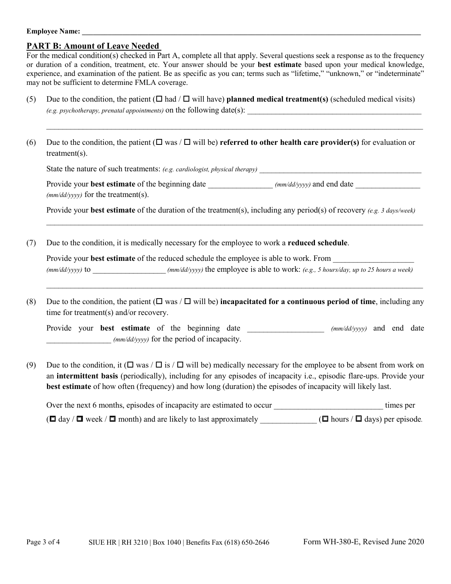#### **Employee Name:**

 $\overline{a}$ 

### **PART B: Amount of Leave Needed**

For the medical condition(s) checked in Part A, complete all that apply. Several questions seek a response as to the frequency or duration of a condition, treatment, etc. Your answer should be your **best estimate** based upon your medical knowledge, experience, and examination of the patient. Be as specific as you can; terms such as "lifetime," "unknown," or "indeterminate" may not be sufficient to determine FMLA coverage.

- (5) Due to the condition, the patient  $(\Box$  had  $/\Box$  will have) **planned medical treatment(s)** (scheduled medical visits) *(e.g. psychotherapy, prenatal appointments)* on the following date(s):
- (6) Due to the condition, the patient  $(\Box$  was /  $\Box$  will be) **referred to other health care provider(s)** for evaluation or treatment(s).

State the nature of such treatments: *(e.g. cardiologist, physical therapy)* 

Provide your **best estimate** of the beginning date  $\frac{\text{(mm/dd/yyy)}}{\text{(mm/dd/yyy)}}$  and end date *(mm/dd/yyyy)* for the treatment(s).

 $\mathcal{L}_\mathcal{L} = \mathcal{L}_\mathcal{L} = \mathcal{L}_\mathcal{L} = \mathcal{L}_\mathcal{L} = \mathcal{L}_\mathcal{L} = \mathcal{L}_\mathcal{L} = \mathcal{L}_\mathcal{L} = \mathcal{L}_\mathcal{L} = \mathcal{L}_\mathcal{L} = \mathcal{L}_\mathcal{L} = \mathcal{L}_\mathcal{L} = \mathcal{L}_\mathcal{L} = \mathcal{L}_\mathcal{L} = \mathcal{L}_\mathcal{L} = \mathcal{L}_\mathcal{L} = \mathcal{L}_\mathcal{L} = \mathcal{L}_\mathcal{L}$ 

 $\mathcal{L}_\mathcal{L} = \mathcal{L}_\mathcal{L} = \mathcal{L}_\mathcal{L} = \mathcal{L}_\mathcal{L} = \mathcal{L}_\mathcal{L} = \mathcal{L}_\mathcal{L} = \mathcal{L}_\mathcal{L} = \mathcal{L}_\mathcal{L} = \mathcal{L}_\mathcal{L} = \mathcal{L}_\mathcal{L} = \mathcal{L}_\mathcal{L} = \mathcal{L}_\mathcal{L} = \mathcal{L}_\mathcal{L} = \mathcal{L}_\mathcal{L} = \mathcal{L}_\mathcal{L} = \mathcal{L}_\mathcal{L} = \mathcal{L}_\mathcal{L}$ Provide your **best estimate** of the duration of the treatment(s), including any period(s) of recovery *(e.g. 3 days/week)*

(7) Due to the condition, it is medically necessary for the employee to work a **reduced schedule**.

 Provide your **best estimate** of the reduced schedule the employee is able to work. From \_\_\_\_\_\_\_\_\_\_\_\_\_\_\_\_\_\_\_\_ *(mm/dd/yyyy)* to \_\_\_\_\_\_\_\_\_\_\_\_\_\_\_\_\_\_ *(mm/dd/yyyy)* the employee is able to work: *(e.g., 5 hours/day, up to 25 hours a week)*

 $\mathcal{L}_\mathcal{L} = \mathcal{L}_\mathcal{L} = \mathcal{L}_\mathcal{L} = \mathcal{L}_\mathcal{L} = \mathcal{L}_\mathcal{L} = \mathcal{L}_\mathcal{L} = \mathcal{L}_\mathcal{L} = \mathcal{L}_\mathcal{L} = \mathcal{L}_\mathcal{L} = \mathcal{L}_\mathcal{L} = \mathcal{L}_\mathcal{L} = \mathcal{L}_\mathcal{L} = \mathcal{L}_\mathcal{L} = \mathcal{L}_\mathcal{L} = \mathcal{L}_\mathcal{L} = \mathcal{L}_\mathcal{L} = \mathcal{L}_\mathcal{L}$ 

(8) Due to the condition, the patient  $(\Box \text{ was } / \Box \text{ will be})$  **incapacitated for a continuous period of time**, including any time for treatment(s) and/or recovery.

Provide your **best estimate** of the beginning date \_\_\_\_\_\_\_ *(mm/dd/yyyy)* and end date  $(mm/dd/yyyy)$  for the period of incapacity.

**best estimate** of how often (frequency) and how long (duration) the episodes of incapacity will likely last. (9) Due to the condition, it ( $\Box$  was / $\Box$  is / $\Box$  will be) medically necessary for the employee to be absent from work on an **intermittent basis** (periodically), including for any episodes of incapacity i.e., episodic flare-ups. Provide your

 Over the next 6 months, episodes of incapacity are estimated to occur \_\_\_\_\_\_\_\_\_\_\_\_\_\_\_\_\_\_\_\_\_\_\_\_\_\_\_ times per  $(\Box$  day /  $\Box$  week /  $\Box$  month) and are likely to last approximately \_\_\_\_\_\_\_\_\_\_\_\_\_( $\Box$  hours /  $\Box$  days) per episode.